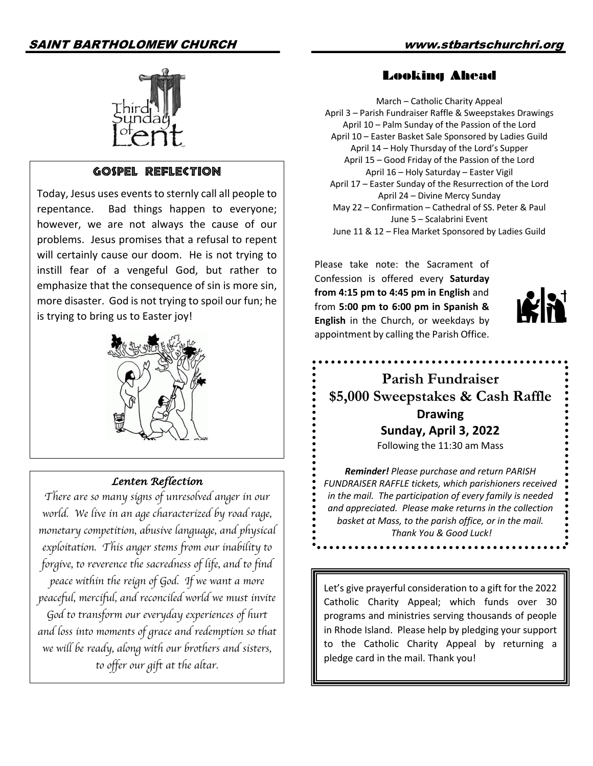#### SAINT BARTHOLOMEW CHURCH www.stbartschurchri.org



#### GOSPEL REFLECTION

Today, Jesus uses events to sternly call all people to repentance. Bad things happen to everyone; however, we are not always the cause of our problems. Jesus promises that a refusal to repent will certainly cause our doom. He is not trying to instill fear of a vengeful God, but rather to emphasize that the consequence of sin is more sin, more disaster. God is not trying to spoil our fun; he is trying to bring us to Easter joy!



#### *Lenten Reflection*

*There are so many signs of unresolved anger in our world. We live in an age characterized by road rage, monetary competition, abusive language, and physical exploitation. This anger stems from our inability to forgive, to reverence the sacredness of life, and to find peace within the reign of God. If we want a more peaceful, merciful, and reconciled world we must invite God to transform our everyday experiences of hurt and loss into moments of grace and redemption so that we will be ready, along with our brothers and sisters, to offer our gift at the altar.* 

#### Looking Ahead

March – Catholic Charity Appeal April 3 – Parish Fundraiser Raffle & Sweepstakes Drawings April 10 – Palm Sunday of the Passion of the Lord April 10 – Easter Basket Sale Sponsored by Ladies Guild April 14 – Holy Thursday of the Lord's Supper April 15 – Good Friday of the Passion of the Lord April 16 – Holy Saturday – Easter Vigil April 17 – Easter Sunday of the Resurrection of the Lord April 24 – Divine Mercy Sunday May 22 – Confirmation – Cathedral of SS. Peter & Paul June 5 – Scalabrini Event June 11 & 12 – Flea Market Sponsored by Ladies Guild

Please take note: the Sacrament of Confession is offered every **Saturday from 4:15 pm to 4:45 pm in English** and from **5:00 pm to 6:00 pm in Spanish & English** in the Church, or weekdays by appointment by calling the Parish Office.



## **Parish Fundraiser \$5,000 Sweepstakes & Cash Raffle Drawing Sunday, April 3, 2022**

Following the 11:30 am Mass

*Reminder! Please purchase and return PARISH FUNDRAISER RAFFLE tickets, which parishioners received in the mail. The participation of every family is needed and appreciated. Please make returns in the collection basket at Mass, to the parish office, or in the mail. Thank You & Good Luck!*

Let's give prayerful consideration to a gift for the 2022 Catholic Charity Appeal; which funds over 30 programs and ministries serving thousands of people in Rhode Island. Please help by pledging your support to the Catholic Charity Appeal by returning a pledge card in the mail. Thank you!